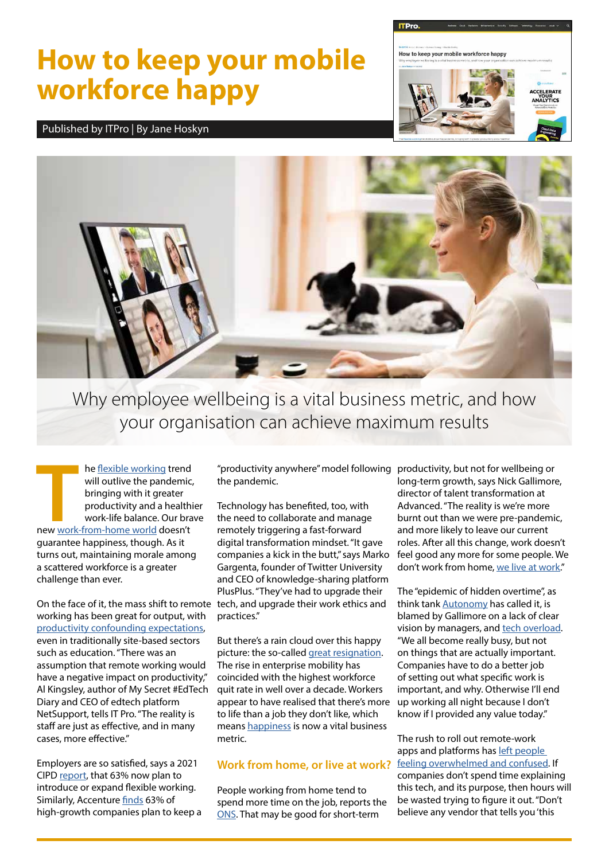## **How to keep your mobile workforce happy**

Published by ITPro | By Jane Hoskyn





Why employee wellbeing is a vital business metric, and how your organisation can achieve maximum results

**THE MANUS TEND SERVIS SERVIS SERVIS SERVIS SERVIS SERVIS SERVIS SERVIS SERVIS SERVIS SERVIS SERVIS SERVIS SERVIS SERVIS SERVIS SERVIS SERVIS SERVIS SERVIS SERVIS SERVIS SERVIS SERVIS SERVIS SERVIS SERVIS SERVIS SERVIS SER** he [flexible working](https://www.itpro.co.uk/strategy/28187/flexible-vs-agile-working) trend will outlive the pandemic, bringing with it greater productivity and a healthier work-life balance. Our brave guarantee happiness, though. As it turns out, maintaining morale among a scattered workforce is a greater challenge than ever.

On the face of it, the mass shift to remote tech, and upgrade their work ethics and working has been great for output, with [productivity confounding expectations,](https://www.itpro.co.uk/business-strategy/flexible-working/357016/wfh-staff-swaps-commuting-for-additional-work-vodafone) even in traditionally site-based sectors such as education. "There was an assumption that remote working would have a negative impact on productivity," Al Kingsley, author of My Secret #EdTech Diary and CEO of edtech platform NetSupport, tells IT Pro. "The reality is staff are just as effective, and in many cases, more effective."

Employers are so satisfied, says a 2021 CIPD [report](https://www.cipd.co.uk/knowledge/fundamentals/relations/flexible-working/flexible-working-lessons-pandemic), that 63% now plan to introduce or expand flexible working. Similarly, Accenture [finds](https://www.accenture.com/gb-en/insights/consulting/future-work) 63% of high-growth companies plan to keep a

"productivity anywhere" model following productivity, but not for wellbeing or the pandemic.

Technology has benefited, too, with the need to collaborate and manage remotely triggering a fast-forward digital transformation mindset. "It gave companies a kick in the butt," says Marko Gargenta, founder of Twitter University and CEO of knowledge-sharing platform PlusPlus. "They've had to upgrade their practices."

But there's a rain cloud over this happy picture: the so-called [great resignation.](https://www.itpro.co.uk/policy-legislation/data-protection/360576/great-resignation-sparks-concern-over-insider-data-leaks) The rise in enterprise mobility has coincided with the highest workforce quit rate in well over a decade. Workers appear to have realised that there's more to life than a job they don't like, which means [happiness](https://www.itpro.co.uk/strategy/28308/uk-tech-industry-lags-behind-in-worker-happiness) is now a vital business metric.

## **Work from home, or live at work?**

People working from home tend to spend more time on the job, reports the [ONS.](https://www.itpro.co.uk/business-strategy/flexible-working/359268/homeworkers-spend-more-hours-on-the-job-find-ons) That may be good for short-term

long-term growth, says Nick Gallimore, director of talent transformation at Advanced. "The reality is we're more burnt out than we were pre-pandemic, and more likely to leave our current roles. After all this change, work doesn't feel good any more for some people. We don't work from home, [we live at work.](https://www.itpro.co.uk/business-strategy/flexible-working/360582/working-from-home-overtime-epidemic-report)"

The "epidemic of hidden overtime", as think tank **Autonomy** has called it, is blamed by Gallimore on a lack of clear vision by managers, and [tech overload](https://www.itpro.co.uk/business-strategy/collaboration/361582/managing-the-oversaturation-of-workplace-platforms). "We all become really busy, but not on things that are actually important. Companies have to do a better job of setting out what specific work is important, and why. Otherwise I'll end up working all night because I don't know if I provided any value today."

The rush to roll out remote-work apps and platforms has [left people](https://www.itpro.co.uk/business/business-strategy/358724/how-should-employers-support-people-working-from-home)  [feeling overwhelmed and confused.](https://www.itpro.co.uk/business/business-strategy/358724/how-should-employers-support-people-working-from-home) If companies don't spend time explaining this tech, and its purpose, then hours will be wasted trying to figure it out. "Don't believe any vendor that tells you 'this